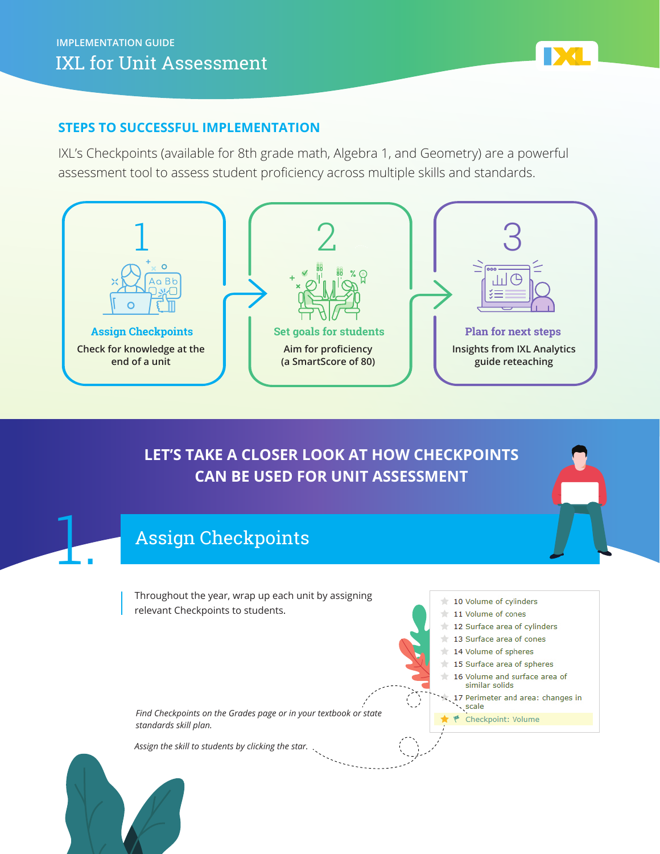### IXL for Unit Assessment **IMPLEMENTATION GUIDE**

### **STEPS TO SUCCESSFUL IMPLEMENTATION**

IXL's Checkpoints (available for 8th grade math, Algebra 1, and Geometry) are a powerful assessment tool to assess student proficiency across multiple skills and standards.

**BX** 



## **LET'S TAKE A CLOSER LOOK AT HOW CHECKPOINTS CAN BE USED FOR UNIT ASSESSMENT**

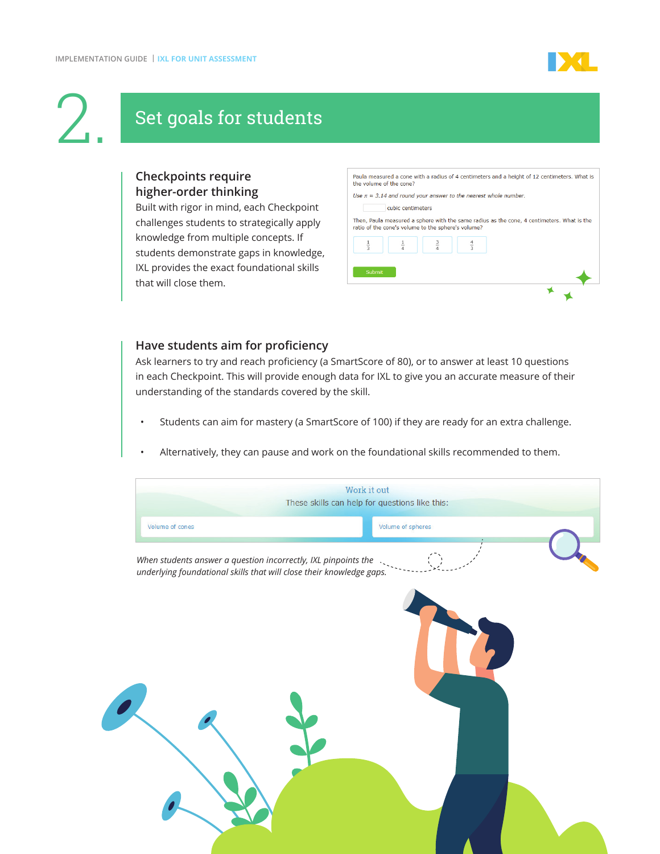

# Set goals for students

#### **Checkpoints require higher-order thinking**

Built with rigor in mind, each Checkpoint challenges students to strategically apply knowledge from multiple concepts. If students demonstrate gaps in knowledge, IXL provides the exact foundational skills that will close them.

| the volume of the cone?                                                                                                                          |               |
|--------------------------------------------------------------------------------------------------------------------------------------------------|---------------|
| Use $\pi \approx 3.14$ and round your answer to the nearest whole number.                                                                        |               |
| cubic centimeters                                                                                                                                |               |
| Then, Paula measured a sphere with the same radius as the cone, 4 centimeters. What is the<br>ratio of the cone's volume to the sphere's volume? |               |
| $\frac{1}{3}$<br>$\frac{1}{4}$<br>$\frac{3}{4}$                                                                                                  | $\frac{4}{3}$ |
| Submit                                                                                                                                           |               |
|                                                                                                                                                  |               |

Paula measured a cone with a radius of 4 centimeters and a height of 12 centimeters. What is

#### **Have students aim for proficiency**

Ask learners to try and reach proficiency (a SmartScore of 80), or to answer at least 10 questions in each Checkpoint. This will provide enough data for IXL to give you an accurate measure of their understanding of the standards covered by the skill.

- Students can aim for mastery (a SmartScore of 100) if they are ready for an extra challenge.
- Alternatively, they can pause and work on the foundational skills recommended to them.